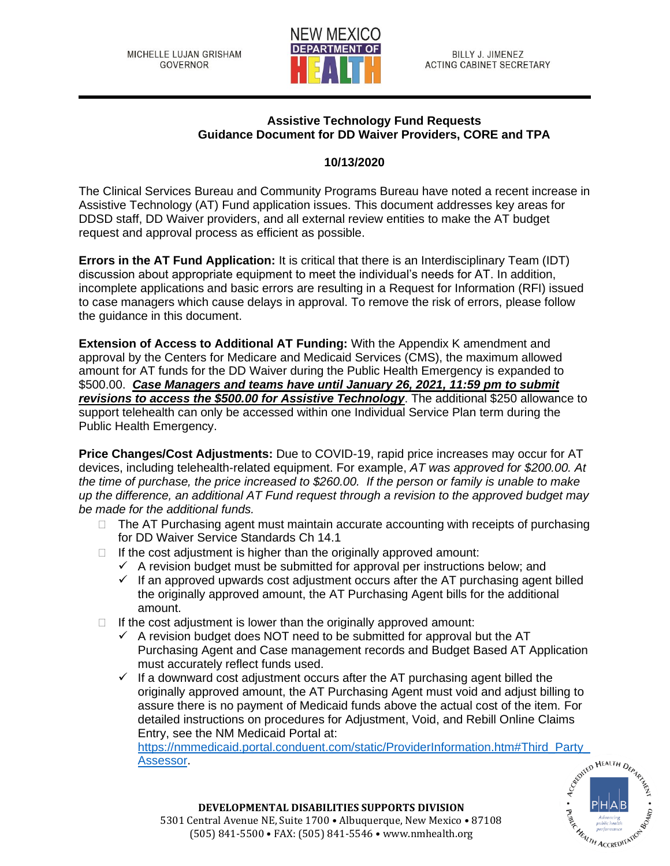

## **Assistive Technology Fund Requests Guidance Document for DD Waiver Providers, CORE and TPA**

## **10/13/2020**

The Clinical Services Bureau and Community Programs Bureau have noted a recent increase in Assistive Technology (AT) Fund application issues. This document addresses key areas for DDSD staff, DD Waiver providers, and all external review entities to make the AT budget request and approval process as efficient as possible.

**Errors in the AT Fund Application:** It is critical that there is an Interdisciplinary Team (IDT) discussion about appropriate equipment to meet the individual's needs for AT. In addition, incomplete applications and basic errors are resulting in a Request for Information (RFI) issued to case managers which cause delays in approval. To remove the risk of errors, please follow the guidance in this document.

**Extension of Access to Additional AT Funding:** With the Appendix K amendment and approval by the Centers for Medicare and Medicaid Services (CMS), the maximum allowed amount for AT funds for the DD Waiver during the Public Health Emergency is expanded to \$500.00. *Case Managers and teams have until January 26, 2021, 11:59 pm to submit revisions to access the \$500.00 for Assistive Technology*. The additional \$250 allowance to support telehealth can only be accessed within one Individual Service Plan term during the Public Health Emergency.

**Price Changes/Cost Adjustments:** Due to COVID-19, rapid price increases may occur for AT devices, including telehealth-related equipment. For example, *AT was approved for \$200.00. At the time of purchase, the price increased to \$260.00. If the person or family is unable to make up the difference, an additional AT Fund request through a revision to the approved budget may be made for the additional funds.*

- $\Box$  The AT Purchasing agent must maintain accurate accounting with receipts of purchasing for DD Waiver Service Standards Ch 14.1
- $\Box$  If the cost adjustment is higher than the originally approved amount:
	- $\checkmark$  A revision budget must be submitted for approval per instructions below; and
	- $\checkmark$  If an approved upwards cost adjustment occurs after the AT purchasing agent billed the originally approved amount, the AT Purchasing Agent bills for the additional amount.
- $\Box$  If the cost adjustment is lower than the originally approved amount:
	- $\checkmark$  A revision budget does NOT need to be submitted for approval but the AT Purchasing Agent and Case management records and Budget Based AT Application must accurately reflect funds used.
	- $\checkmark$  If a downward cost adjustment occurs after the AT purchasing agent billed the originally approved amount, the AT Purchasing Agent must void and adjust billing to assure there is no payment of Medicaid funds above the actual cost of the item. For detailed instructions on procedures for Adjustment, Void, and Rebill Online Claims Entry, see the NM Medicaid Portal at:

[https://nmmedicaid.portal.conduent.com/static/ProviderInformation.htm#Third\\_Party\\_](https://nmmedicaid.portal.conduent.com/static/ProviderInformation.htm#Third_Party_Assessor)<br>Assessor.<br>examples://www.party.com/static/ProviderInformation.htm#Third\_Party\_<br>examples://www.party.com/static/ProviderInformation.htm#Thir [Assessor.](https://nmmedicaid.portal.conduent.com/static/ProviderInformation.htm#Third_Party_Assessor)



**DEVELOPMENTAL DISABILITIES SUPPORTS DIVISION** 5301 Central Avenue NE, Suite 1700 • Albuquerque, New Mexico • 87108 (505) 841-5500 • FAX: (505) 841-5546 • www.nmhealth.org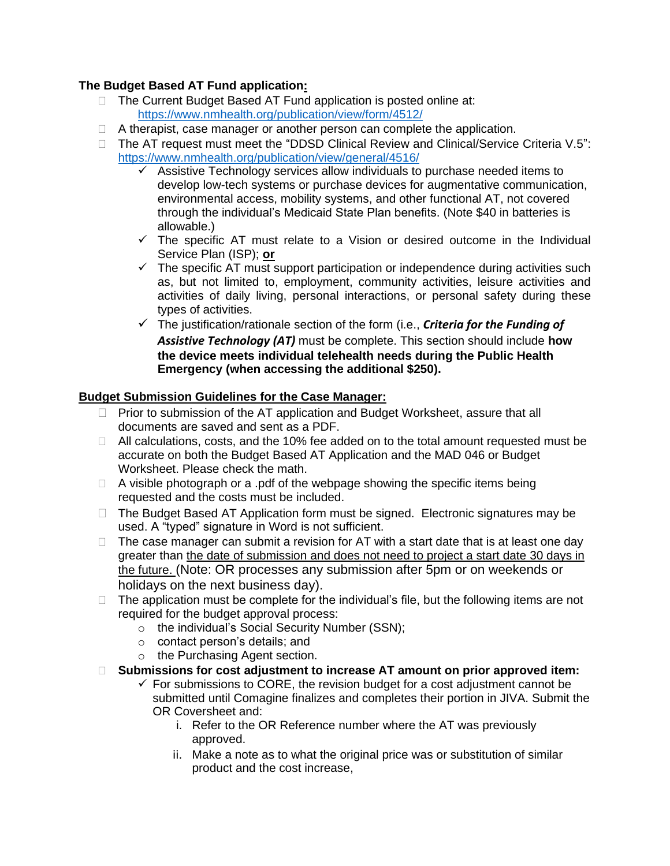## **The Budget Based AT Fund application:**

- □ The Current Budget Based AT Fund application is posted online at: <https://www.nmhealth.org/publication/view/form/4512/>
- $\Box$  A therapist, case manager or another person can complete the application.
- □ The AT request must meet the "DDSD Clinical Review and Clinical/Service Criteria V.5": <https://www.nmhealth.org/publication/view/general/4516/>
	- $\checkmark$  Assistive Technology services allow individuals to purchase needed items to develop low-tech systems or purchase devices for augmentative communication, environmental access, mobility systems, and other functional AT, not covered through the individual's Medicaid State Plan benefits. (Note \$40 in batteries is allowable.)
	- $\checkmark$  The specific AT must relate to a Vision or desired outcome in the Individual Service Plan (ISP); **or**
	- $\checkmark$  The specific AT must support participation or independence during activities such as, but not limited to, employment, community activities, leisure activities and activities of daily living, personal interactions, or personal safety during these types of activities.
	- ✓ The justification/rationale section of the form (i.e., *Criteria for the Funding of Assistive Technology (AT)* must be complete. This section should include **how the device meets individual telehealth needs during the Public Health Emergency (when accessing the additional \$250).**

## **Budget Submission Guidelines for the Case Manager:**

- □ Prior to submission of the AT application and Budget Worksheet, assure that all documents are saved and sent as a PDF.
- $\Box$  All calculations, costs, and the 10% fee added on to the total amount requested must be accurate on both the Budget Based AT Application and the MAD 046 or Budget Worksheet. Please check the math.
- $\Box$  A visible photograph or a .pdf of the webpage showing the specific items being requested and the costs must be included.
- $\Box$  The Budget Based AT Application form must be signed. Electronic signatures may be used. A "typed" signature in Word is not sufficient.
- $\Box$  The case manager can submit a revision for AT with a start date that is at least one day greater than the date of submission and does not need to project a start date 30 days in the future. (Note: OR processes any submission after 5pm or on weekends or holidays on the next business day).
- $\Box$  The application must be complete for the individual's file, but the following items are not required for the budget approval process:
	- o the individual's Social Security Number (SSN);
	- o contact person's details; and
	- o the Purchasing Agent section.
- **Submissions for cost adjustment to increase AT amount on prior approved item:**
	- $\checkmark$  For submissions to CORE, the revision budget for a cost adjustment cannot be submitted until Comagine finalizes and completes their portion in JIVA. Submit the OR Coversheet and:
		- i. Refer to the OR Reference number where the AT was previously approved.
		- ii. Make a note as to what the original price was or substitution of similar product and the cost increase,